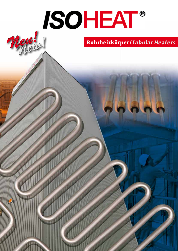# **ISOHEAT®** Meul

**Rohrheizkörper/Tubular Heaters**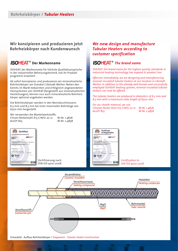## **Wir konzipieren und produzieren jetzt Rohrheizkörper nach Kundenwunsch**

## **ISOHEAT<sup>®</sup>** Der Markenname

ISOHEAT, der Markenname für höchste Qualitätsansprüche in der industriellen Beheizungstechnik, hat ihr Produktprogramm erweitert.

Ab sofort konzipieren und produzieren wir mineralisolierte Rohrheizkörper am Standort Ubstadt-Weiher. Neben den bereits im Markt bekannten und erfolgreich angewendeten Heizsystemen von ISOHEAT (hergestellt aus mineralisolierten Heizleitungen), können nun auch mineralisolierte Rohrheizkörper optional angeboten werden.

Die Rohrheizkörper werden in den Nenndurchmessern 6,5 mm und 8,5 mm bei einer maximalen Rohrlänge von 6500 mm hergestellt.

Wir verwenden die Mantelwerkstoffe: Chrom-Nickelstahl X15 CrNiSi 20 12 W-Nr. 1.4828 ALLOY 825 W-Nr. 2.4858



| Zertifizierung nach |  |
|---------------------|--|
| DIN ISO 9001:2008   |  |

## *We now design and manufacture Tubular Heaters according to customer specification*

## **ISOHEAT**<sup>®</sup> The brand name

*ISOHEAT, the brand name for the highest quality standards in industrial heating technology, has expand its product line.*

*Effective immediately, we are designing and manufacturing mineral-insulated tubular heaters at our location in Ubstadt-Weiher. In addition to the already well-known and successfully employed ISOHEAT heating systems, mineral-insulated tubular heaters can now be offered.*

*The tubular heaters are produced in diameters of 6.5 mm and 8.5 mm with a maximum tube length of 6500 mm.*

*For our sheath material, we use: Chrome-Nickel Steel X15 CrNiSi 20 12 W-Nr. 1.4828 ALLOY 825 W-Nr. 2.4858*



*Certification to DIN ISO 9001:2008*



Schaubild - Aufbau Rohrheizkörper / *Diagramm - Tubular Heater Construction*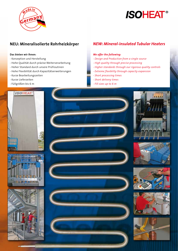

## **ISOHEAT®**

### **Das bieten wir Ihnen:**

- Konzeption und Herstellung
- Hohe Qualität durch präzise Weiterverarbeitung
- Hoher Standard durch unsere Prüfroutinen
- Hohe Flexibilität durch Kapazitätserweiterungen
- Kurze Bearbeitungszeiten
- Kurze Lieferzeiten
- Füllgrößen bis 6 m

## **NEU: Mineralisolierte Rohrheizkörper** *NEW: Mineral-insulated Tubular Heaters*

### *We offer the following:*

- *Design and Production from a single source*
- *High quality through precise processing*
- *Higher standards through our rigorous quality controls*
- *Extreme flexibility through capacity expansion*
- *Short processing times*
- *Short delivery times*
- *Fill sizes up to 6 m*